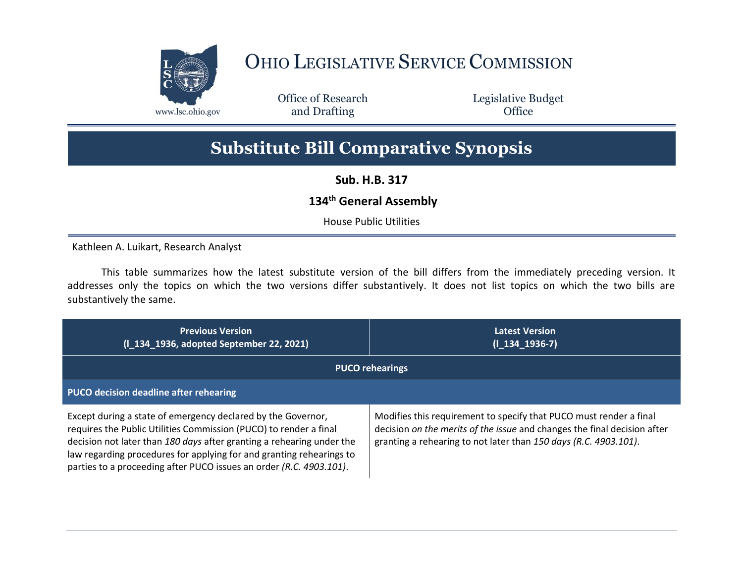

## OHIO LEGISLATIVE SERVICE COMMISSION

Office of Research www.lsc.ohio.gov **and Drafting Office** 

Legislative Budget

## **Substitute Bill Comparative Synopsis**

**Sub. H.B. 317**

## **134th General Assembly**

House Public Utilities

Kathleen A. Luikart, Research Analyst

This table summarizes how the latest substitute version of the bill differs from the immediately preceding version. It addresses only the topics on which the two versions differ substantively. It does not list topics on which the two bills are substantively the same.

| <b>Previous Version</b><br>(I_134_1936, adopted September 22, 2021)                                                                                                                                                                                                                                                                                       | <b>Latest Version</b><br>$(I_134_1936-7)$                                                                                                                                                                          |  |
|-----------------------------------------------------------------------------------------------------------------------------------------------------------------------------------------------------------------------------------------------------------------------------------------------------------------------------------------------------------|--------------------------------------------------------------------------------------------------------------------------------------------------------------------------------------------------------------------|--|
| <b>PUCO rehearings</b>                                                                                                                                                                                                                                                                                                                                    |                                                                                                                                                                                                                    |  |
| <b>PUCO decision deadline after rehearing</b>                                                                                                                                                                                                                                                                                                             |                                                                                                                                                                                                                    |  |
| Except during a state of emergency declared by the Governor,<br>requires the Public Utilities Commission (PUCO) to render a final<br>decision not later than 180 days after granting a rehearing under the<br>law regarding procedures for applying for and granting rehearings to<br>parties to a proceeding after PUCO issues an order (R.C. 4903.101). | Modifies this requirement to specify that PUCO must render a final<br>decision on the merits of the issue and changes the final decision after<br>granting a rehearing to not later than 150 days (R.C. 4903.101). |  |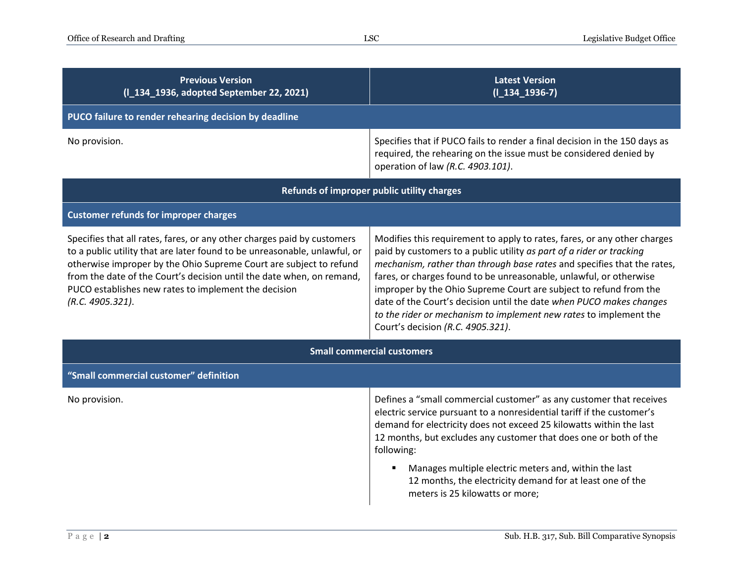| <b>Previous Version</b><br>(I_134_1936, adopted September 22, 2021)                                                                                                                                                                                                                                                                                                             | <b>Latest Version</b><br>$(I_134_1936-7)$                                                                                                                                                                                                                                                                                                                                                                                                                                                                                                               |  |
|---------------------------------------------------------------------------------------------------------------------------------------------------------------------------------------------------------------------------------------------------------------------------------------------------------------------------------------------------------------------------------|---------------------------------------------------------------------------------------------------------------------------------------------------------------------------------------------------------------------------------------------------------------------------------------------------------------------------------------------------------------------------------------------------------------------------------------------------------------------------------------------------------------------------------------------------------|--|
| PUCO failure to render rehearing decision by deadline                                                                                                                                                                                                                                                                                                                           |                                                                                                                                                                                                                                                                                                                                                                                                                                                                                                                                                         |  |
| No provision.                                                                                                                                                                                                                                                                                                                                                                   | Specifies that if PUCO fails to render a final decision in the 150 days as<br>required, the rehearing on the issue must be considered denied by<br>operation of law (R.C. 4903.101).                                                                                                                                                                                                                                                                                                                                                                    |  |
| Refunds of improper public utility charges                                                                                                                                                                                                                                                                                                                                      |                                                                                                                                                                                                                                                                                                                                                                                                                                                                                                                                                         |  |
| <b>Customer refunds for improper charges</b>                                                                                                                                                                                                                                                                                                                                    |                                                                                                                                                                                                                                                                                                                                                                                                                                                                                                                                                         |  |
| Specifies that all rates, fares, or any other charges paid by customers<br>to a public utility that are later found to be unreasonable, unlawful, or<br>otherwise improper by the Ohio Supreme Court are subject to refund<br>from the date of the Court's decision until the date when, on remand,<br>PUCO establishes new rates to implement the decision<br>(R.C. 4905.321). | Modifies this requirement to apply to rates, fares, or any other charges<br>paid by customers to a public utility as part of a rider or tracking<br>mechanism, rather than through base rates and specifies that the rates,<br>fares, or charges found to be unreasonable, unlawful, or otherwise<br>improper by the Ohio Supreme Court are subject to refund from the<br>date of the Court's decision until the date when PUCO makes changes<br>to the rider or mechanism to implement new rates to implement the<br>Court's decision (R.C. 4905.321). |  |
| <b>Small commercial customers</b>                                                                                                                                                                                                                                                                                                                                               |                                                                                                                                                                                                                                                                                                                                                                                                                                                                                                                                                         |  |
| "Small commercial customer" definition                                                                                                                                                                                                                                                                                                                                          |                                                                                                                                                                                                                                                                                                                                                                                                                                                                                                                                                         |  |
| No provision.                                                                                                                                                                                                                                                                                                                                                                   | Defines a "small commercial customer" as any customer that receives<br>electric service pursuant to a nonresidential tariff if the customer's<br>demand for electricity does not exceed 25 kilowatts within the last<br>12 months, but excludes any customer that does one or both of the<br>following:<br>Manages multiple electric meters and, within the last<br>12 months, the electricity demand for at least one of the<br>meters is 25 kilowatts or more;                                                                                        |  |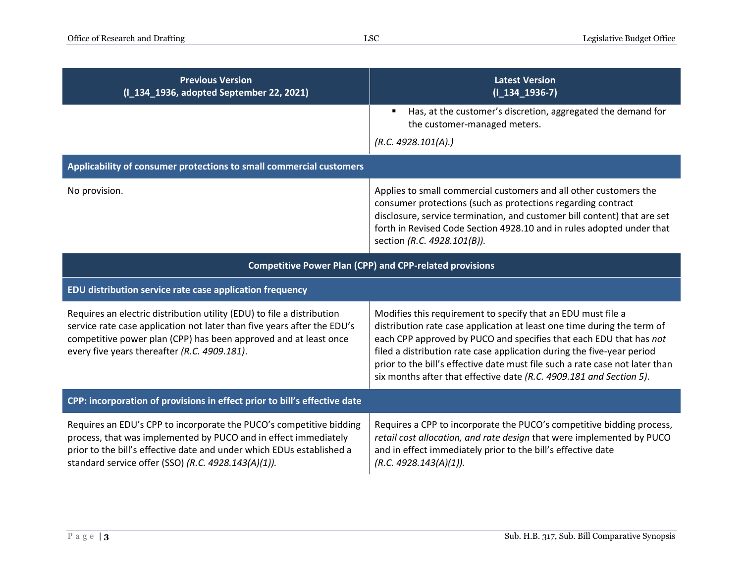| <b>Previous Version</b><br>(I_134_1936, adopted September 22, 2021)                                                                                                                                                                                                    | <b>Latest Version</b><br>$(I_134_1936-7)$                                                                                                                                                                                                                                                                                                                                                                                                      |  |
|------------------------------------------------------------------------------------------------------------------------------------------------------------------------------------------------------------------------------------------------------------------------|------------------------------------------------------------------------------------------------------------------------------------------------------------------------------------------------------------------------------------------------------------------------------------------------------------------------------------------------------------------------------------------------------------------------------------------------|--|
|                                                                                                                                                                                                                                                                        | Has, at the customer's discretion, aggregated the demand for<br>the customer-managed meters.                                                                                                                                                                                                                                                                                                                                                   |  |
|                                                                                                                                                                                                                                                                        | (R.C. 4928.101(A).)                                                                                                                                                                                                                                                                                                                                                                                                                            |  |
| Applicability of consumer protections to small commercial customers                                                                                                                                                                                                    |                                                                                                                                                                                                                                                                                                                                                                                                                                                |  |
| No provision.                                                                                                                                                                                                                                                          | Applies to small commercial customers and all other customers the<br>consumer protections (such as protections regarding contract<br>disclosure, service termination, and customer bill content) that are set<br>forth in Revised Code Section 4928.10 and in rules adopted under that<br>section (R.C. 4928.101(B)).                                                                                                                          |  |
| <b>Competitive Power Plan (CPP) and CPP-related provisions</b>                                                                                                                                                                                                         |                                                                                                                                                                                                                                                                                                                                                                                                                                                |  |
| EDU distribution service rate case application frequency                                                                                                                                                                                                               |                                                                                                                                                                                                                                                                                                                                                                                                                                                |  |
| Requires an electric distribution utility (EDU) to file a distribution<br>service rate case application not later than five years after the EDU's<br>competitive power plan (CPP) has been approved and at least once<br>every five years thereafter (R.C. 4909.181).  | Modifies this requirement to specify that an EDU must file a<br>distribution rate case application at least one time during the term of<br>each CPP approved by PUCO and specifies that each EDU that has not<br>filed a distribution rate case application during the five-year period<br>prior to the bill's effective date must file such a rate case not later than<br>six months after that effective date (R.C. 4909.181 and Section 5). |  |
| CPP: incorporation of provisions in effect prior to bill's effective date                                                                                                                                                                                              |                                                                                                                                                                                                                                                                                                                                                                                                                                                |  |
| Requires an EDU's CPP to incorporate the PUCO's competitive bidding<br>process, that was implemented by PUCO and in effect immediately<br>prior to the bill's effective date and under which EDUs established a<br>standard service offer (SSO) (R.C. 4928.143(A)(1)). | Requires a CPP to incorporate the PUCO's competitive bidding process,<br>retail cost allocation, and rate design that were implemented by PUCO<br>and in effect immediately prior to the bill's effective date<br>(R.C. 4928.143(A)(1)).                                                                                                                                                                                                       |  |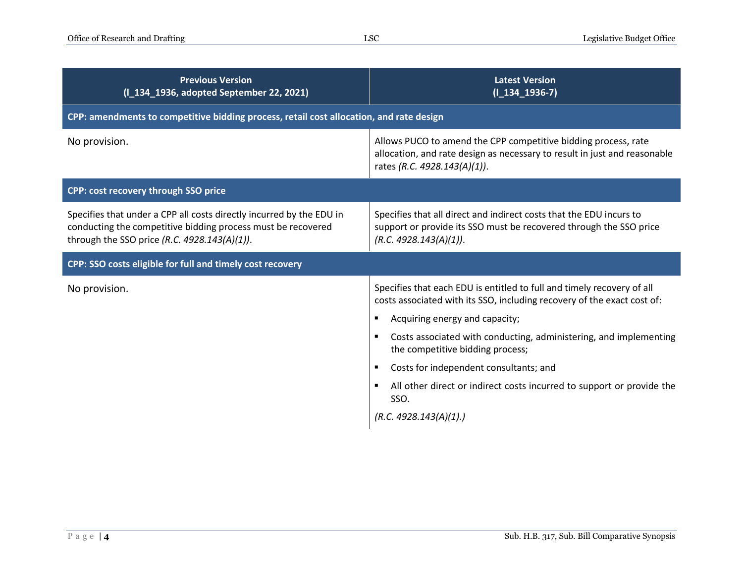| <b>Previous Version</b><br>(I_134_1936, adopted September 22, 2021)                                                                                                                  | <b>Latest Version</b><br>$(I_134_1936-7)$                                                                                                                                   |  |
|--------------------------------------------------------------------------------------------------------------------------------------------------------------------------------------|-----------------------------------------------------------------------------------------------------------------------------------------------------------------------------|--|
| CPP: amendments to competitive bidding process, retail cost allocation, and rate design                                                                                              |                                                                                                                                                                             |  |
| No provision.                                                                                                                                                                        | Allows PUCO to amend the CPP competitive bidding process, rate<br>allocation, and rate design as necessary to result in just and reasonable<br>rates (R.C. 4928.143(A)(1)). |  |
| CPP: cost recovery through SSO price                                                                                                                                                 |                                                                                                                                                                             |  |
| Specifies that under a CPP all costs directly incurred by the EDU in<br>conducting the competitive bidding process must be recovered<br>through the SSO price (R.C. 4928.143(A)(1)). | Specifies that all direct and indirect costs that the EDU incurs to<br>support or provide its SSO must be recovered through the SSO price<br>(R.C. 4928.143(A)(1)).         |  |
| CPP: SSO costs eligible for full and timely cost recovery                                                                                                                            |                                                                                                                                                                             |  |
| No provision.                                                                                                                                                                        | Specifies that each EDU is entitled to full and timely recovery of all<br>costs associated with its SSO, including recovery of the exact cost of:                           |  |
|                                                                                                                                                                                      | Acquiring energy and capacity;<br>٠                                                                                                                                         |  |
|                                                                                                                                                                                      | Costs associated with conducting, administering, and implementing<br>$\blacksquare$<br>the competitive bidding process;                                                     |  |
|                                                                                                                                                                                      | Costs for independent consultants; and<br>$\blacksquare$                                                                                                                    |  |
|                                                                                                                                                                                      | All other direct or indirect costs incurred to support or provide the<br>SSO.                                                                                               |  |
|                                                                                                                                                                                      | (R.C. 4928.143(A)(1).)                                                                                                                                                      |  |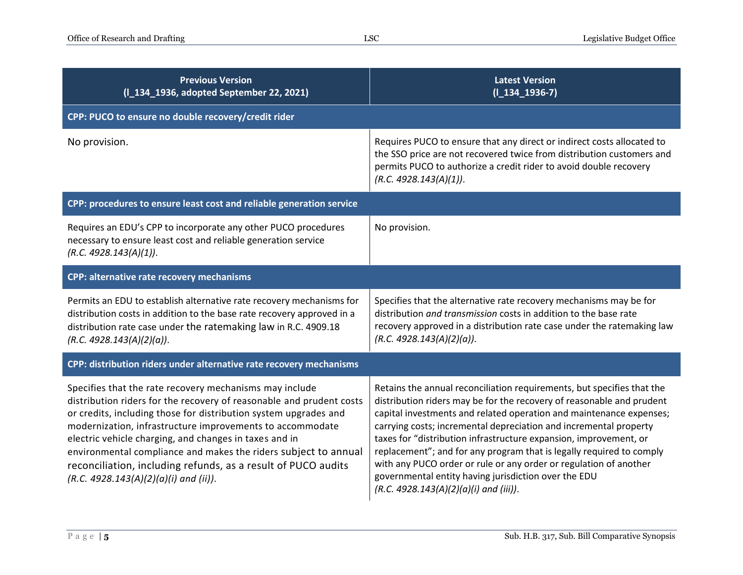| <b>Previous Version</b><br>(1 134_1936, adopted September 22, 2021)                                                                                                                                                                                                                                                                                                                                                                                                                                       | <b>Latest Version</b><br>$(I_134_1936-7)$                                                                                                                                                                                                                                                                                                                                                                                                                                                                                                                                                                       |
|-----------------------------------------------------------------------------------------------------------------------------------------------------------------------------------------------------------------------------------------------------------------------------------------------------------------------------------------------------------------------------------------------------------------------------------------------------------------------------------------------------------|-----------------------------------------------------------------------------------------------------------------------------------------------------------------------------------------------------------------------------------------------------------------------------------------------------------------------------------------------------------------------------------------------------------------------------------------------------------------------------------------------------------------------------------------------------------------------------------------------------------------|
| CPP: PUCO to ensure no double recovery/credit rider                                                                                                                                                                                                                                                                                                                                                                                                                                                       |                                                                                                                                                                                                                                                                                                                                                                                                                                                                                                                                                                                                                 |
| No provision.                                                                                                                                                                                                                                                                                                                                                                                                                                                                                             | Requires PUCO to ensure that any direct or indirect costs allocated to<br>the SSO price are not recovered twice from distribution customers and<br>permits PUCO to authorize a credit rider to avoid double recovery<br>(R.C. 4928.143(A)(1)).                                                                                                                                                                                                                                                                                                                                                                  |
| CPP: procedures to ensure least cost and reliable generation service                                                                                                                                                                                                                                                                                                                                                                                                                                      |                                                                                                                                                                                                                                                                                                                                                                                                                                                                                                                                                                                                                 |
| Requires an EDU's CPP to incorporate any other PUCO procedures<br>necessary to ensure least cost and reliable generation service<br>(R.C. 4928.143(A)(1)).                                                                                                                                                                                                                                                                                                                                                | No provision.                                                                                                                                                                                                                                                                                                                                                                                                                                                                                                                                                                                                   |
| CPP: alternative rate recovery mechanisms                                                                                                                                                                                                                                                                                                                                                                                                                                                                 |                                                                                                                                                                                                                                                                                                                                                                                                                                                                                                                                                                                                                 |
| Permits an EDU to establish alternative rate recovery mechanisms for<br>distribution costs in addition to the base rate recovery approved in a<br>distribution rate case under the ratemaking law in R.C. 4909.18<br>(R.C. 4928.143(A)(2)(a)).                                                                                                                                                                                                                                                            | Specifies that the alternative rate recovery mechanisms may be for<br>distribution and transmission costs in addition to the base rate<br>recovery approved in a distribution rate case under the ratemaking law<br>(R.C. 4928.143(A)(2)(a)).                                                                                                                                                                                                                                                                                                                                                                   |
| CPP: distribution riders under alternative rate recovery mechanisms                                                                                                                                                                                                                                                                                                                                                                                                                                       |                                                                                                                                                                                                                                                                                                                                                                                                                                                                                                                                                                                                                 |
| Specifies that the rate recovery mechanisms may include<br>distribution riders for the recovery of reasonable and prudent costs<br>or credits, including those for distribution system upgrades and<br>modernization, infrastructure improvements to accommodate<br>electric vehicle charging, and changes in taxes and in<br>environmental compliance and makes the riders subject to annual<br>reconciliation, including refunds, as a result of PUCO audits<br>$(R.C. 4928.143(A)(2)(a)(i)$ and (ii)). | Retains the annual reconciliation requirements, but specifies that the<br>distribution riders may be for the recovery of reasonable and prudent<br>capital investments and related operation and maintenance expenses;<br>carrying costs; incremental depreciation and incremental property<br>taxes for "distribution infrastructure expansion, improvement, or<br>replacement"; and for any program that is legally required to comply<br>with any PUCO order or rule or any order or regulation of another<br>governmental entity having jurisdiction over the EDU<br>(R.C. 4928.143(A)(2)(a)(i) and (iii)). |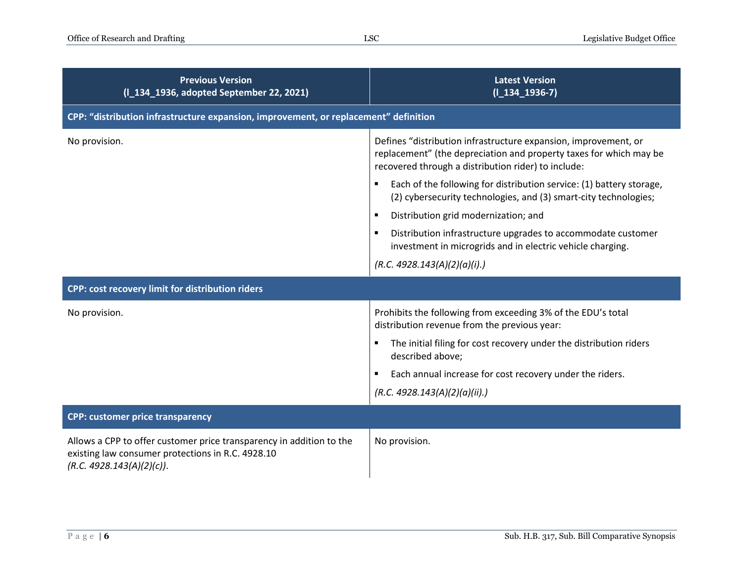| <b>Previous Version</b><br>(1 134 1936, adopted September 22, 2021)                                                                                    | <b>Latest Version</b><br>$(I_134_1936-7)$                                                                                                                                                    |
|--------------------------------------------------------------------------------------------------------------------------------------------------------|----------------------------------------------------------------------------------------------------------------------------------------------------------------------------------------------|
| CPP: "distribution infrastructure expansion, improvement, or replacement" definition                                                                   |                                                                                                                                                                                              |
| No provision.                                                                                                                                          | Defines "distribution infrastructure expansion, improvement, or<br>replacement" (the depreciation and property taxes for which may be<br>recovered through a distribution rider) to include: |
|                                                                                                                                                        | Each of the following for distribution service: (1) battery storage,<br>(2) cybersecurity technologies, and (3) smart-city technologies;                                                     |
|                                                                                                                                                        | Distribution grid modernization; and<br>$\blacksquare$                                                                                                                                       |
|                                                                                                                                                        | Distribution infrastructure upgrades to accommodate customer<br>investment in microgrids and in electric vehicle charging.                                                                   |
|                                                                                                                                                        | (R.C. 4928.143(A)(2)(a)(i).)                                                                                                                                                                 |
| CPP: cost recovery limit for distribution riders                                                                                                       |                                                                                                                                                                                              |
| No provision.                                                                                                                                          | Prohibits the following from exceeding 3% of the EDU's total<br>distribution revenue from the previous year:                                                                                 |
|                                                                                                                                                        | The initial filing for cost recovery under the distribution riders<br>described above;                                                                                                       |
|                                                                                                                                                        | Each annual increase for cost recovery under the riders.                                                                                                                                     |
|                                                                                                                                                        | (R.C. 4928.143(A)(2)(a)(ii).)                                                                                                                                                                |
| <b>CPP: customer price transparency</b>                                                                                                                |                                                                                                                                                                                              |
| Allows a CPP to offer customer price transparency in addition to the<br>existing law consumer protections in R.C. 4928.10<br>(R.C. 4928.143(A)(2)(c)). | No provision.                                                                                                                                                                                |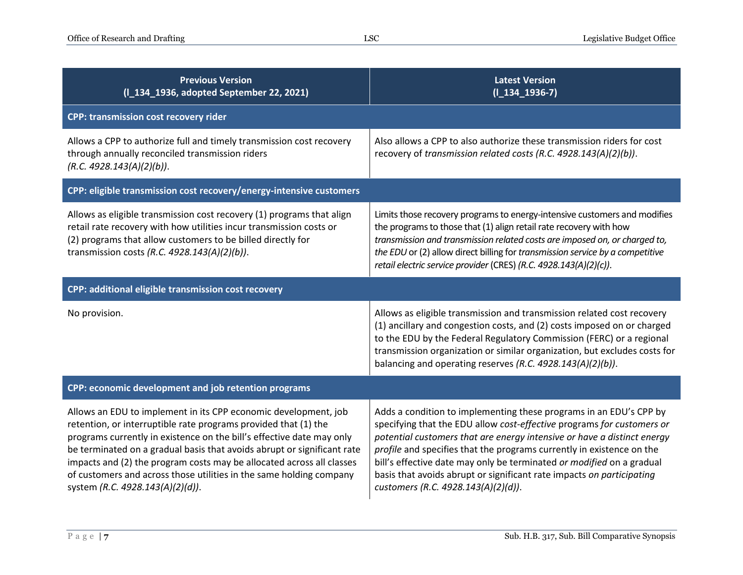| <b>Previous Version</b><br>(I_134_1936, adopted September 22, 2021)                                                                                                                                                                                                                                                                                                                                                                                                        | <b>Latest Version</b><br>$(I_134_1936-7)$                                                                                                                                                                                                                                                                                                                                                                                                                                                 |  |
|----------------------------------------------------------------------------------------------------------------------------------------------------------------------------------------------------------------------------------------------------------------------------------------------------------------------------------------------------------------------------------------------------------------------------------------------------------------------------|-------------------------------------------------------------------------------------------------------------------------------------------------------------------------------------------------------------------------------------------------------------------------------------------------------------------------------------------------------------------------------------------------------------------------------------------------------------------------------------------|--|
| <b>CPP: transmission cost recovery rider</b>                                                                                                                                                                                                                                                                                                                                                                                                                               |                                                                                                                                                                                                                                                                                                                                                                                                                                                                                           |  |
| Allows a CPP to authorize full and timely transmission cost recovery<br>through annually reconciled transmission riders<br>(R.C. 4928.143(A)(2)(b)).                                                                                                                                                                                                                                                                                                                       | Also allows a CPP to also authorize these transmission riders for cost<br>recovery of transmission related costs (R.C. 4928.143(A)(2)(b)).                                                                                                                                                                                                                                                                                                                                                |  |
| CPP: eligible transmission cost recovery/energy-intensive customers                                                                                                                                                                                                                                                                                                                                                                                                        |                                                                                                                                                                                                                                                                                                                                                                                                                                                                                           |  |
| Allows as eligible transmission cost recovery (1) programs that align<br>retail rate recovery with how utilities incur transmission costs or<br>(2) programs that allow customers to be billed directly for<br>transmission costs (R.C. 4928.143(A)(2)(b)).                                                                                                                                                                                                                | Limits those recovery programs to energy-intensive customers and modifies<br>the programs to those that (1) align retail rate recovery with how<br>transmission and transmission related costs are imposed on, or charged to,<br>the EDU or (2) allow direct billing for transmission service by a competitive<br>retail electric service provider (CRES) (R.C. 4928.143(A)(2)(c)).                                                                                                       |  |
| CPP: additional eligible transmission cost recovery                                                                                                                                                                                                                                                                                                                                                                                                                        |                                                                                                                                                                                                                                                                                                                                                                                                                                                                                           |  |
| No provision.                                                                                                                                                                                                                                                                                                                                                                                                                                                              | Allows as eligible transmission and transmission related cost recovery<br>(1) ancillary and congestion costs, and (2) costs imposed on or charged<br>to the EDU by the Federal Regulatory Commission (FERC) or a regional<br>transmission organization or similar organization, but excludes costs for<br>balancing and operating reserves (R.C. 4928.143(A)(2)(b)).                                                                                                                      |  |
| CPP: economic development and job retention programs                                                                                                                                                                                                                                                                                                                                                                                                                       |                                                                                                                                                                                                                                                                                                                                                                                                                                                                                           |  |
| Allows an EDU to implement in its CPP economic development, job<br>retention, or interruptible rate programs provided that (1) the<br>programs currently in existence on the bill's effective date may only<br>be terminated on a gradual basis that avoids abrupt or significant rate<br>impacts and (2) the program costs may be allocated across all classes<br>of customers and across those utilities in the same holding company<br>system (R.C. 4928.143(A)(2)(d)). | Adds a condition to implementing these programs in an EDU's CPP by<br>specifying that the EDU allow cost-effective programs for customers or<br>potential customers that are energy intensive or have a distinct energy<br>profile and specifies that the programs currently in existence on the<br>bill's effective date may only be terminated or modified on a gradual<br>basis that avoids abrupt or significant rate impacts on participating<br>customers (R.C. 4928.143(A)(2)(d)). |  |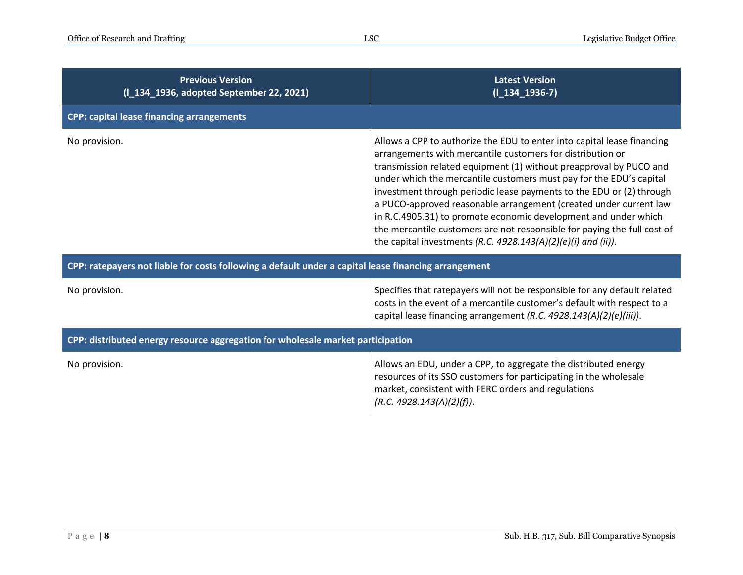| <b>Previous Version</b><br>(I_134_1936, adopted September 22, 2021)                                  | <b>Latest Version</b><br>$(I_134_1936-7)$                                                                                                                                                                                                                                                                                                                                                                                                                                                                                                                                                                                                       |  |
|------------------------------------------------------------------------------------------------------|-------------------------------------------------------------------------------------------------------------------------------------------------------------------------------------------------------------------------------------------------------------------------------------------------------------------------------------------------------------------------------------------------------------------------------------------------------------------------------------------------------------------------------------------------------------------------------------------------------------------------------------------------|--|
| <b>CPP: capital lease financing arrangements</b>                                                     |                                                                                                                                                                                                                                                                                                                                                                                                                                                                                                                                                                                                                                                 |  |
| No provision.                                                                                        | Allows a CPP to authorize the EDU to enter into capital lease financing<br>arrangements with mercantile customers for distribution or<br>transmission related equipment (1) without preapproval by PUCO and<br>under which the mercantile customers must pay for the EDU's capital<br>investment through periodic lease payments to the EDU or (2) through<br>a PUCO-approved reasonable arrangement (created under current law<br>in R.C.4905.31) to promote economic development and under which<br>the mercantile customers are not responsible for paying the full cost of<br>the capital investments (R.C. 4928.143(A)(2)(e)(i) and (ii)). |  |
| CPP: ratepayers not liable for costs following a default under a capital lease financing arrangement |                                                                                                                                                                                                                                                                                                                                                                                                                                                                                                                                                                                                                                                 |  |
| No provision.                                                                                        | Specifies that ratepayers will not be responsible for any default related<br>costs in the event of a mercantile customer's default with respect to a<br>capital lease financing arrangement (R.C. 4928.143(A)(2)(e)(iii)).                                                                                                                                                                                                                                                                                                                                                                                                                      |  |
| CPP: distributed energy resource aggregation for wholesale market participation                      |                                                                                                                                                                                                                                                                                                                                                                                                                                                                                                                                                                                                                                                 |  |
| No provision.                                                                                        | Allows an EDU, under a CPP, to aggregate the distributed energy<br>resources of its SSO customers for participating in the wholesale<br>market, consistent with FERC orders and regulations<br>(R.C. 4928.143(A)(2)(f)).                                                                                                                                                                                                                                                                                                                                                                                                                        |  |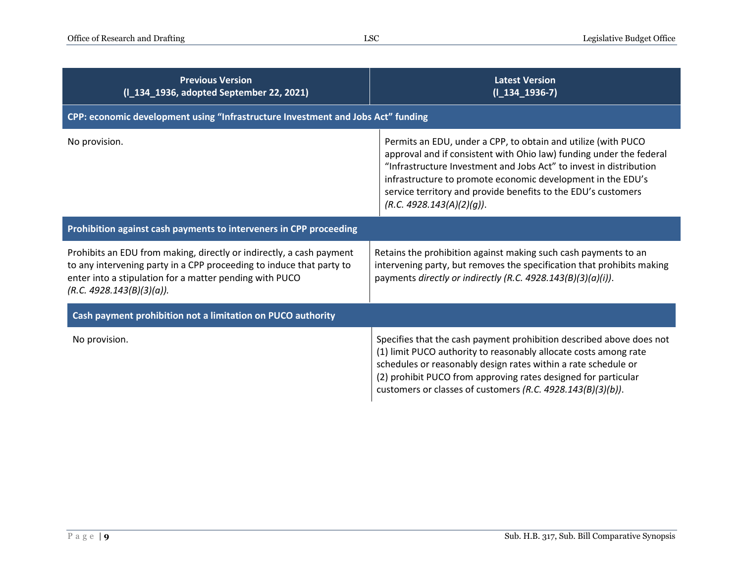| <b>Previous Version</b><br>(I_134_1936, adopted September 22, 2021)                                                                                                                                                                  | <b>Latest Version</b><br>$(I_134_1936-7)$                                                                                                                                                                                                                                                                                                                               |  |
|--------------------------------------------------------------------------------------------------------------------------------------------------------------------------------------------------------------------------------------|-------------------------------------------------------------------------------------------------------------------------------------------------------------------------------------------------------------------------------------------------------------------------------------------------------------------------------------------------------------------------|--|
| CPP: economic development using "Infrastructure Investment and Jobs Act" funding                                                                                                                                                     |                                                                                                                                                                                                                                                                                                                                                                         |  |
| No provision.                                                                                                                                                                                                                        | Permits an EDU, under a CPP, to obtain and utilize (with PUCO<br>approval and if consistent with Ohio law) funding under the federal<br>"Infrastructure Investment and Jobs Act" to invest in distribution<br>infrastructure to promote economic development in the EDU's<br>service territory and provide benefits to the EDU's customers<br>(R.C. 4928.143(A)(2)(q)). |  |
| Prohibition against cash payments to interveners in CPP proceeding                                                                                                                                                                   |                                                                                                                                                                                                                                                                                                                                                                         |  |
| Prohibits an EDU from making, directly or indirectly, a cash payment<br>to any intervening party in a CPP proceeding to induce that party to<br>enter into a stipulation for a matter pending with PUCO<br>(R.C. 4928.143(B)(3)(a)). | Retains the prohibition against making such cash payments to an<br>intervening party, but removes the specification that prohibits making<br>payments directly or indirectly (R.C. 4928.143(B)(3)(a)(i)).                                                                                                                                                               |  |
| Cash payment prohibition not a limitation on PUCO authority                                                                                                                                                                          |                                                                                                                                                                                                                                                                                                                                                                         |  |
| No provision.                                                                                                                                                                                                                        | Specifies that the cash payment prohibition described above does not<br>(1) limit PUCO authority to reasonably allocate costs among rate<br>schedules or reasonably design rates within a rate schedule or<br>(2) prohibit PUCO from approving rates designed for particular<br>customers or classes of customers (R.C. 4928.143(B)(3)(b)).                             |  |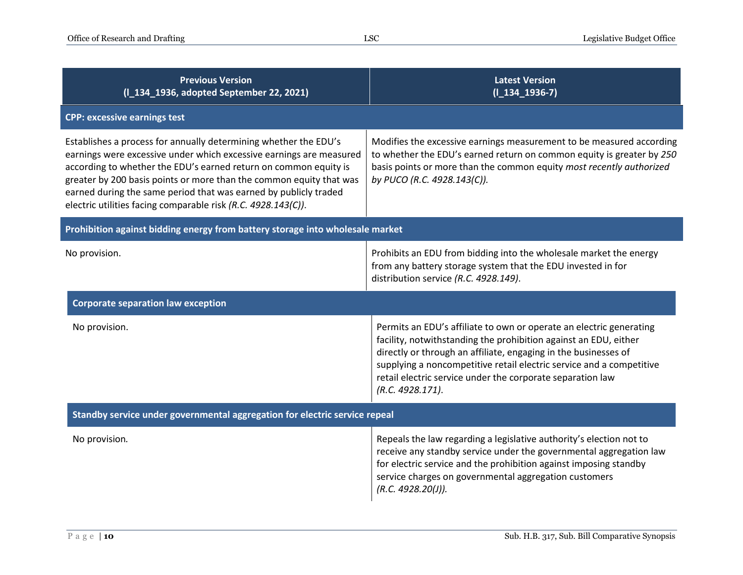| <b>Previous Version</b><br>(I_134_1936, adopted September 22, 2021)                                                                                                                                                                                                                                                                                                                                                     | <b>Latest Version</b><br>$(I_134_1936-7)$                                                                                                                                                                                                                                                                                                                            |  |
|-------------------------------------------------------------------------------------------------------------------------------------------------------------------------------------------------------------------------------------------------------------------------------------------------------------------------------------------------------------------------------------------------------------------------|----------------------------------------------------------------------------------------------------------------------------------------------------------------------------------------------------------------------------------------------------------------------------------------------------------------------------------------------------------------------|--|
| <b>CPP: excessive earnings test</b>                                                                                                                                                                                                                                                                                                                                                                                     |                                                                                                                                                                                                                                                                                                                                                                      |  |
| Establishes a process for annually determining whether the EDU's<br>earnings were excessive under which excessive earnings are measured<br>according to whether the EDU's earned return on common equity is<br>greater by 200 basis points or more than the common equity that was<br>earned during the same period that was earned by publicly traded<br>electric utilities facing comparable risk (R.C. 4928.143(C)). | Modifies the excessive earnings measurement to be measured according<br>to whether the EDU's earned return on common equity is greater by 250<br>basis points or more than the common equity most recently authorized<br>by PUCO (R.C. 4928.143(C)).                                                                                                                 |  |
| Prohibition against bidding energy from battery storage into wholesale market                                                                                                                                                                                                                                                                                                                                           |                                                                                                                                                                                                                                                                                                                                                                      |  |
| No provision.                                                                                                                                                                                                                                                                                                                                                                                                           | Prohibits an EDU from bidding into the wholesale market the energy<br>from any battery storage system that the EDU invested in for<br>distribution service (R.C. 4928.149).                                                                                                                                                                                          |  |
| <b>Corporate separation law exception</b>                                                                                                                                                                                                                                                                                                                                                                               |                                                                                                                                                                                                                                                                                                                                                                      |  |
| No provision.                                                                                                                                                                                                                                                                                                                                                                                                           | Permits an EDU's affiliate to own or operate an electric generating<br>facility, notwithstanding the prohibition against an EDU, either<br>directly or through an affiliate, engaging in the businesses of<br>supplying a noncompetitive retail electric service and a competitive<br>retail electric service under the corporate separation law<br>(R.C. 4928.171). |  |
| Standby service under governmental aggregation for electric service repeal                                                                                                                                                                                                                                                                                                                                              |                                                                                                                                                                                                                                                                                                                                                                      |  |
| No provision.                                                                                                                                                                                                                                                                                                                                                                                                           | Repeals the law regarding a legislative authority's election not to<br>receive any standby service under the governmental aggregation law<br>for electric service and the prohibition against imposing standby<br>service charges on governmental aggregation customers<br>(R.C. 4928.20(1)).                                                                        |  |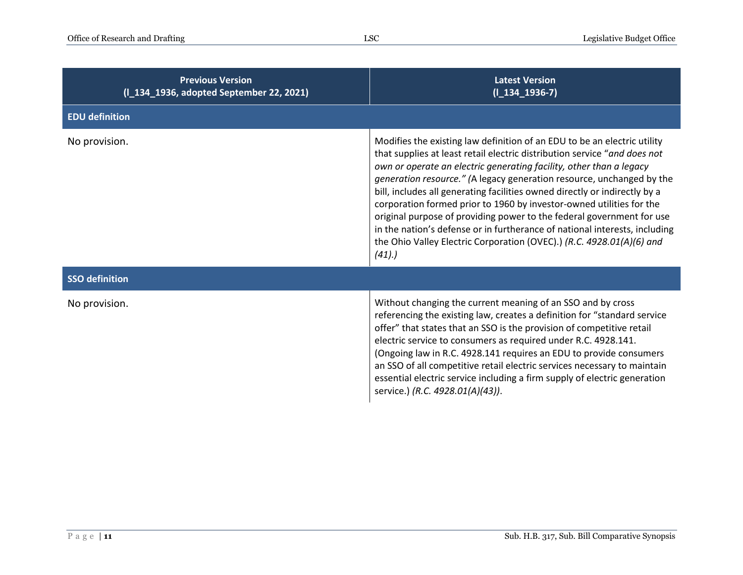| <b>Previous Version</b><br>(I_134_1936, adopted September 22, 2021) | <b>Latest Version</b><br>$(I_134_1936-7)$                                                                                                                                                                                                                                                                                                                                                                                                                                                                                                                                                                                                                                                            |
|---------------------------------------------------------------------|------------------------------------------------------------------------------------------------------------------------------------------------------------------------------------------------------------------------------------------------------------------------------------------------------------------------------------------------------------------------------------------------------------------------------------------------------------------------------------------------------------------------------------------------------------------------------------------------------------------------------------------------------------------------------------------------------|
| <b>EDU definition</b>                                               |                                                                                                                                                                                                                                                                                                                                                                                                                                                                                                                                                                                                                                                                                                      |
| No provision.                                                       | Modifies the existing law definition of an EDU to be an electric utility<br>that supplies at least retail electric distribution service "and does not<br>own or operate an electric generating facility, other than a legacy<br>generation resource." (A legacy generation resource, unchanged by the<br>bill, includes all generating facilities owned directly or indirectly by a<br>corporation formed prior to 1960 by investor-owned utilities for the<br>original purpose of providing power to the federal government for use<br>in the nation's defense or in furtherance of national interests, including<br>the Ohio Valley Electric Corporation (OVEC).) (R.C. 4928.01(A)(6) and<br>(41). |
| <b>SSO definition</b>                                               |                                                                                                                                                                                                                                                                                                                                                                                                                                                                                                                                                                                                                                                                                                      |
| No provision.                                                       | Without changing the current meaning of an SSO and by cross<br>referencing the existing law, creates a definition for "standard service<br>offer" that states that an SSO is the provision of competitive retail<br>electric service to consumers as required under R.C. 4928.141.<br>(Ongoing law in R.C. 4928.141 requires an EDU to provide consumers<br>an SSO of all competitive retail electric services necessary to maintain<br>essential electric service including a firm supply of electric generation<br>service.) (R.C. 4928.01(A)(43)).                                                                                                                                                |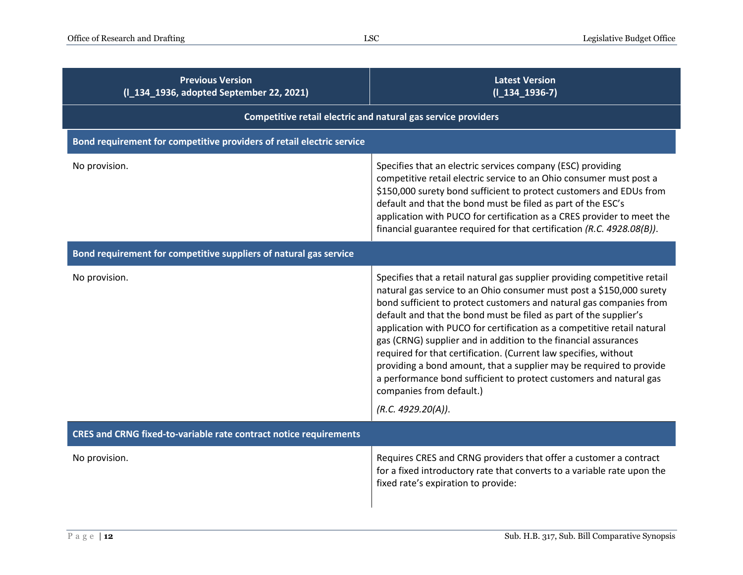| <b>Previous Version</b><br>(I_134_1936, adopted September 22, 2021)   | <b>Latest Version</b><br>$(I_134_1936-7)$                                                                                                                                                                                                                                                                                                                                                                                                                                                                                                                                                                                                                                                                      |
|-----------------------------------------------------------------------|----------------------------------------------------------------------------------------------------------------------------------------------------------------------------------------------------------------------------------------------------------------------------------------------------------------------------------------------------------------------------------------------------------------------------------------------------------------------------------------------------------------------------------------------------------------------------------------------------------------------------------------------------------------------------------------------------------------|
| Competitive retail electric and natural gas service providers         |                                                                                                                                                                                                                                                                                                                                                                                                                                                                                                                                                                                                                                                                                                                |
| Bond requirement for competitive providers of retail electric service |                                                                                                                                                                                                                                                                                                                                                                                                                                                                                                                                                                                                                                                                                                                |
| No provision.                                                         | Specifies that an electric services company (ESC) providing<br>competitive retail electric service to an Ohio consumer must post a<br>\$150,000 surety bond sufficient to protect customers and EDUs from<br>default and that the bond must be filed as part of the ESC's<br>application with PUCO for certification as a CRES provider to meet the<br>financial guarantee required for that certification (R.C. 4928.08(B)).                                                                                                                                                                                                                                                                                  |
| Bond requirement for competitive suppliers of natural gas service     |                                                                                                                                                                                                                                                                                                                                                                                                                                                                                                                                                                                                                                                                                                                |
| No provision.                                                         | Specifies that a retail natural gas supplier providing competitive retail<br>natural gas service to an Ohio consumer must post a \$150,000 surety<br>bond sufficient to protect customers and natural gas companies from<br>default and that the bond must be filed as part of the supplier's<br>application with PUCO for certification as a competitive retail natural<br>gas (CRNG) supplier and in addition to the financial assurances<br>required for that certification. (Current law specifies, without<br>providing a bond amount, that a supplier may be required to provide<br>a performance bond sufficient to protect customers and natural gas<br>companies from default.)<br>(R.C. 4929.20(A)). |
| CRES and CRNG fixed-to-variable rate contract notice requirements     |                                                                                                                                                                                                                                                                                                                                                                                                                                                                                                                                                                                                                                                                                                                |
| No provision.                                                         | Requires CRES and CRNG providers that offer a customer a contract<br>for a fixed introductory rate that converts to a variable rate upon the<br>fixed rate's expiration to provide:                                                                                                                                                                                                                                                                                                                                                                                                                                                                                                                            |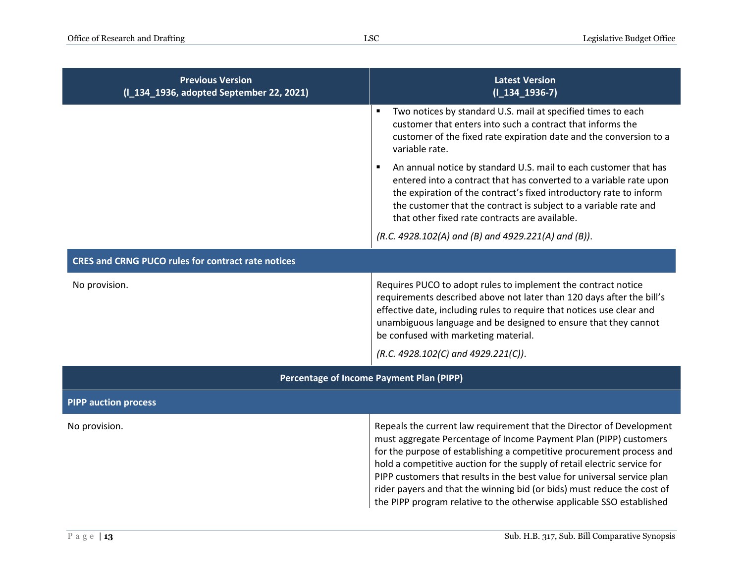| <b>Previous Version</b><br>(I_134_1936, adopted September 22, 2021) | <b>Latest Version</b><br>$(I_134_1936-7)$                                                                                                                                                                                                                                                                                                                                                                                                                                                                                      |
|---------------------------------------------------------------------|--------------------------------------------------------------------------------------------------------------------------------------------------------------------------------------------------------------------------------------------------------------------------------------------------------------------------------------------------------------------------------------------------------------------------------------------------------------------------------------------------------------------------------|
|                                                                     | Two notices by standard U.S. mail at specified times to each<br>customer that enters into such a contract that informs the<br>customer of the fixed rate expiration date and the conversion to a<br>variable rate.                                                                                                                                                                                                                                                                                                             |
|                                                                     | An annual notice by standard U.S. mail to each customer that has<br>entered into a contract that has converted to a variable rate upon<br>the expiration of the contract's fixed introductory rate to inform<br>the customer that the contract is subject to a variable rate and<br>that other fixed rate contracts are available.                                                                                                                                                                                             |
|                                                                     | (R.C. 4928.102(A) and (B) and 4929.221(A) and (B)).                                                                                                                                                                                                                                                                                                                                                                                                                                                                            |
| <b>CRES and CRNG PUCO rules for contract rate notices</b>           |                                                                                                                                                                                                                                                                                                                                                                                                                                                                                                                                |
| No provision.                                                       | Requires PUCO to adopt rules to implement the contract notice<br>requirements described above not later than 120 days after the bill's<br>effective date, including rules to require that notices use clear and<br>unambiguous language and be designed to ensure that they cannot<br>be confused with marketing material.                                                                                                                                                                                                     |
|                                                                     | $(R.C. 4928.102(C)$ and $4929.221(C)$ .                                                                                                                                                                                                                                                                                                                                                                                                                                                                                        |
| Percentage of Income Payment Plan (PIPP)                            |                                                                                                                                                                                                                                                                                                                                                                                                                                                                                                                                |
| <b>PIPP auction process</b>                                         |                                                                                                                                                                                                                                                                                                                                                                                                                                                                                                                                |
| No provision.                                                       | Repeals the current law requirement that the Director of Development<br>must aggregate Percentage of Income Payment Plan (PIPP) customers<br>for the purpose of establishing a competitive procurement process and<br>hold a competitive auction for the supply of retail electric service for<br>PIPP customers that results in the best value for universal service plan<br>rider payers and that the winning bid (or bids) must reduce the cost of<br>the PIPP program relative to the otherwise applicable SSO established |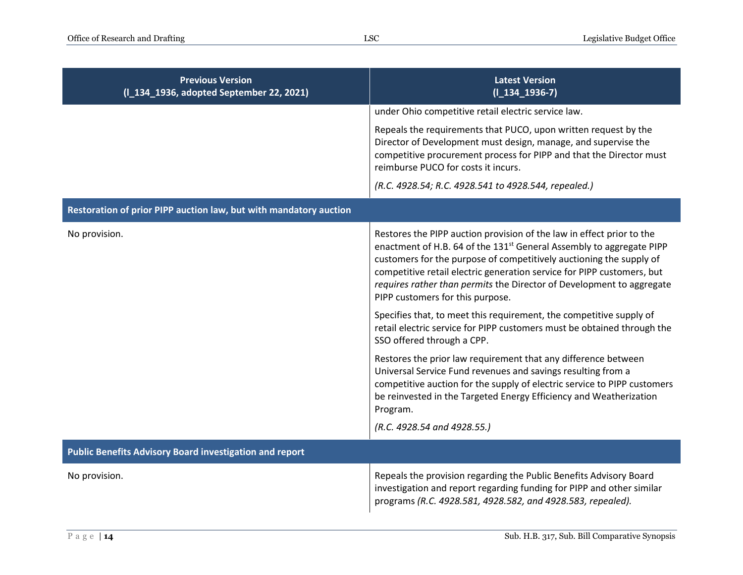| <b>Previous Version</b><br>(I_134_1936, adopted September 22, 2021) | <b>Latest Version</b><br>$(I_134_1936-7)$                                                                                                                                                                                                                                                                                                                                                                               |
|---------------------------------------------------------------------|-------------------------------------------------------------------------------------------------------------------------------------------------------------------------------------------------------------------------------------------------------------------------------------------------------------------------------------------------------------------------------------------------------------------------|
|                                                                     | under Ohio competitive retail electric service law.                                                                                                                                                                                                                                                                                                                                                                     |
|                                                                     | Repeals the requirements that PUCO, upon written request by the<br>Director of Development must design, manage, and supervise the<br>competitive procurement process for PIPP and that the Director must<br>reimburse PUCO for costs it incurs.                                                                                                                                                                         |
|                                                                     | (R.C. 4928.54; R.C. 4928.541 to 4928.544, repealed.)                                                                                                                                                                                                                                                                                                                                                                    |
| Restoration of prior PIPP auction law, but with mandatory auction   |                                                                                                                                                                                                                                                                                                                                                                                                                         |
| No provision.                                                       | Restores the PIPP auction provision of the law in effect prior to the<br>enactment of H.B. 64 of the 131 <sup>st</sup> General Assembly to aggregate PIPP<br>customers for the purpose of competitively auctioning the supply of<br>competitive retail electric generation service for PIPP customers, but<br>requires rather than permits the Director of Development to aggregate<br>PIPP customers for this purpose. |
|                                                                     | Specifies that, to meet this requirement, the competitive supply of<br>retail electric service for PIPP customers must be obtained through the<br>SSO offered through a CPP.                                                                                                                                                                                                                                            |
|                                                                     | Restores the prior law requirement that any difference between<br>Universal Service Fund revenues and savings resulting from a<br>competitive auction for the supply of electric service to PIPP customers<br>be reinvested in the Targeted Energy Efficiency and Weatherization<br>Program.                                                                                                                            |
|                                                                     | (R.C. 4928.54 and 4928.55.)                                                                                                                                                                                                                                                                                                                                                                                             |
| <b>Public Benefits Advisory Board investigation and report</b>      |                                                                                                                                                                                                                                                                                                                                                                                                                         |
| No provision.                                                       | Repeals the provision regarding the Public Benefits Advisory Board<br>investigation and report regarding funding for PIPP and other similar<br>programs (R.C. 4928.581, 4928.582, and 4928.583, repealed).                                                                                                                                                                                                              |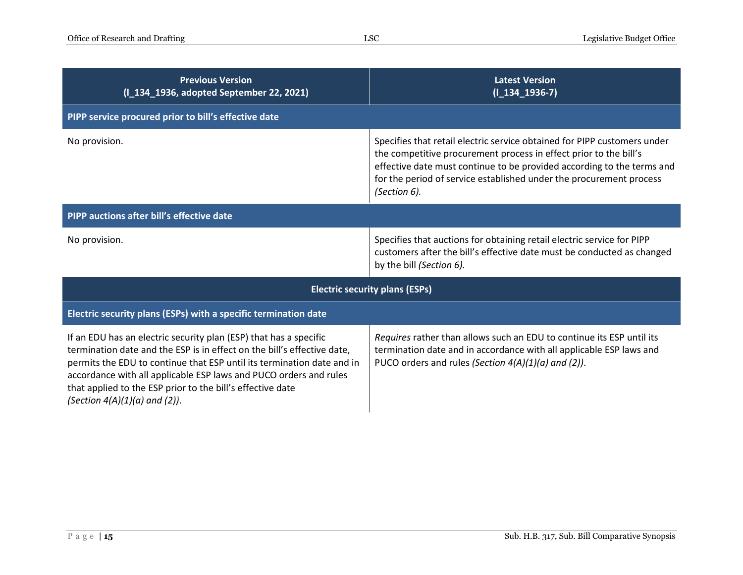| <b>Previous Version</b><br>(I_134_1936, adopted September 22, 2021)                                                                                                                                                                                                                                                                                                                             | <b>Latest Version</b><br>$(I_134_1936-7)$                                                                                                                                                                                                                                                                      |  |
|-------------------------------------------------------------------------------------------------------------------------------------------------------------------------------------------------------------------------------------------------------------------------------------------------------------------------------------------------------------------------------------------------|----------------------------------------------------------------------------------------------------------------------------------------------------------------------------------------------------------------------------------------------------------------------------------------------------------------|--|
| PIPP service procured prior to bill's effective date                                                                                                                                                                                                                                                                                                                                            |                                                                                                                                                                                                                                                                                                                |  |
| No provision.                                                                                                                                                                                                                                                                                                                                                                                   | Specifies that retail electric service obtained for PIPP customers under<br>the competitive procurement process in effect prior to the bill's<br>effective date must continue to be provided according to the terms and<br>for the period of service established under the procurement process<br>(Section 6). |  |
| PIPP auctions after bill's effective date                                                                                                                                                                                                                                                                                                                                                       |                                                                                                                                                                                                                                                                                                                |  |
| No provision.                                                                                                                                                                                                                                                                                                                                                                                   | Specifies that auctions for obtaining retail electric service for PIPP<br>customers after the bill's effective date must be conducted as changed<br>by the bill (Section 6).                                                                                                                                   |  |
| <b>Electric security plans (ESPs)</b>                                                                                                                                                                                                                                                                                                                                                           |                                                                                                                                                                                                                                                                                                                |  |
| Electric security plans (ESPs) with a specific termination date                                                                                                                                                                                                                                                                                                                                 |                                                                                                                                                                                                                                                                                                                |  |
| If an EDU has an electric security plan (ESP) that has a specific<br>termination date and the ESP is in effect on the bill's effective date,<br>permits the EDU to continue that ESP until its termination date and in<br>accordance with all applicable ESP laws and PUCO orders and rules<br>that applied to the ESP prior to the bill's effective date<br>(Section $4(A)(1)(a)$ and $(2)$ ). | Requires rather than allows such an EDU to continue its ESP until its<br>termination date and in accordance with all applicable ESP laws and<br>PUCO orders and rules (Section 4(A)(1)(a) and (2)).                                                                                                            |  |